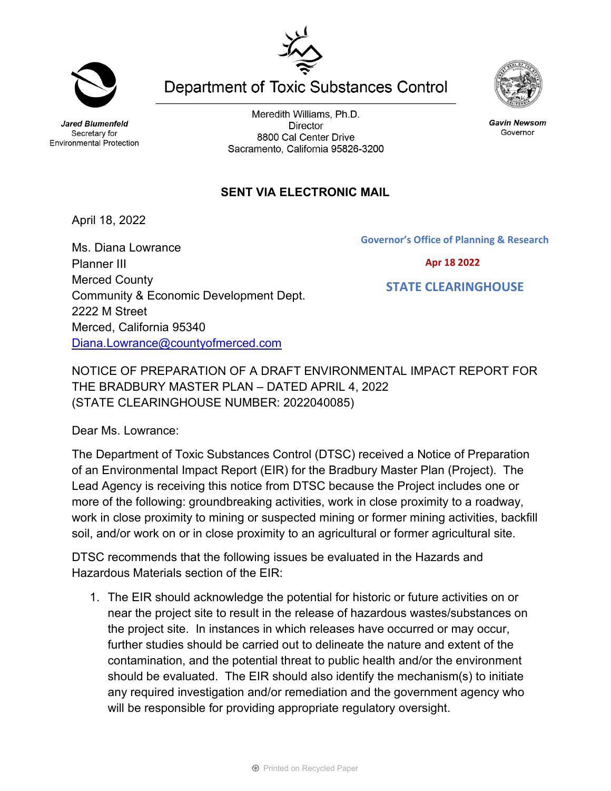**Jared Blumenfeld** Secretary for **Environmental Protection** 

Meredith Williams, Ph.D. **Director** 8800 Cal Center Drive Sacramento, California 95826-3200

**Department of Toxic Substances Control** 

## **SENT VIA ELECTRONIC MAIL**

April 18, 2022

Ms. Diana Lowrance Planner III Merced County Community & Economic Development Dept. 2222 M Street Merced, California 95340 [Diana.Lowrance@countyofmerced.com](mailto:Diana.Lowrance@countyofmerced.com)

NOTICE OF PREPARATION OF A DRAFT ENVIRONMENTAL IMPACT REPORT FOR THE BRADBURY MASTER PLAN – DATED APRIL 4, 2022 (STATE CLEARINGHOUSE NUMBER: 2022040085)

Dear Ms. Lowrance:

The Department of Toxic Substances Control (DTSC) received a Notice of Preparation of an Environmental Impact Report (EIR) for the Bradbury Master Plan (Project). The Lead Agency is receiving this notice from DTSC because the Project includes one or more of the following: groundbreaking activities, work in close proximity to a roadway, work in close proximity to mining or suspected mining or former mining activities, backfill soil, and/or work on or in close proximity to an agricultural or former agricultural site.

DTSC recommends that the following issues be evaluated in the Hazards and Hazardous Materials section of the EIR:

1. The EIR should acknowledge the potential for historic or future activities on or near the project site to result in the release of hazardous wastes/substances on the project site. In instances in which releases have occurred or may occur, further studies should be carried out to delineate the nature and extent of the contamination, and the potential threat to public health and/or the environment should be evaluated. The EIR should also identify the mechanism(s) to initiate any required investigation and/or remediation and the government agency who will be responsible for providing appropriate regulatory oversight.



**Gavin Newsom** Governor

**Governor's Office of Planning & Research**



 **STATE CLEARINGHOUSE**

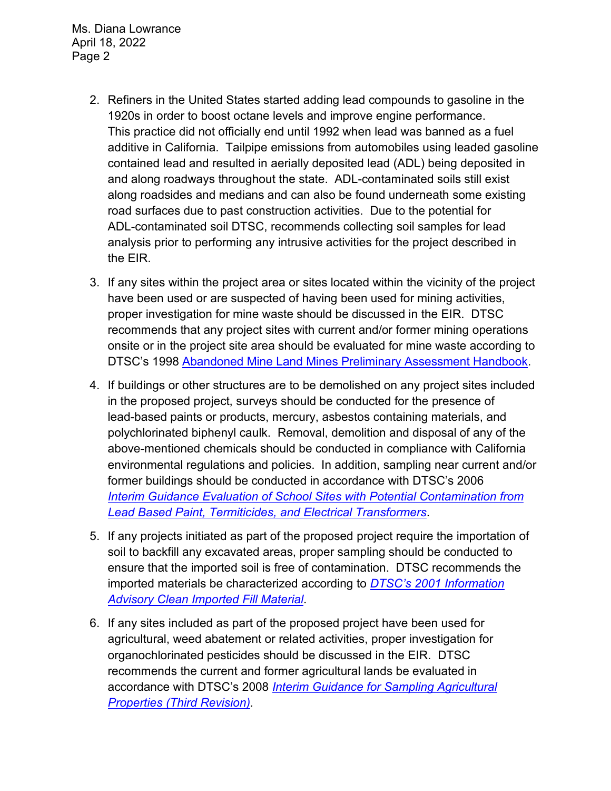Ms. Diana Lowrance April 18, 2022 Page 2

- 2. Refiners in the United States started adding lead compounds to gasoline in the 1920s in order to boost octane levels and improve engine performance. This practice did not officially end until 1992 when lead was banned as a fuel additive in California. Tailpipe emissions from automobiles using leaded gasoline contained lead and resulted in aerially deposited lead (ADL) being deposited in and along roadways throughout the state. ADL-contaminated soils still exist along roadsides and medians and can also be found underneath some existing road surfaces due to past construction activities. Due to the potential for ADL-contaminated soil DTSC, recommends collecting soil samples for lead analysis prior to performing any intrusive activities for the project described in the EIR.
- 3. If any sites within the project area or sites located within the vicinity of the project have been used or are suspected of having been used for mining activities, proper investigation for mine waste should be discussed in the EIR. DTSC recommends that any project sites with current and/or former mining operations onsite or in the project site area should be evaluated for mine waste according to DTSC's 1998 [Abandoned Mine Land Mines Preliminary Assessment Handbook.](https://dtsc.ca.gov/2020/04/17/document-request/?wpf337186_14=https://dtsc.ca.gov/wp-content/uploads/sites/31/2018/11/aml_handbook.pdf)
- 4. If buildings or other structures are to be demolished on any project sites included in the proposed project, surveys should be conducted for the presence of lead-based paints or products, mercury, asbestos containing materials, and polychlorinated biphenyl caulk. Removal, demolition and disposal of any of the above-mentioned chemicals should be conducted in compliance with California environmental regulations and policies. In addition, sampling near current and/or former buildings should be conducted in accordance with DTSC's 2006 *Interim [Guidance Evaluation of School Sites with Potential Contamination from](https://dtsc.ca.gov/2020/04/17/document-request/?wpf337186_14=https://dtsc.ca.gov/wpcontent/uploads/sites/31/2018/09/Guidance_Lead_%20%20Contamination_050118.pdf)  [Lead Based Paint, Termiticides, and Electrical Transformers](https://dtsc.ca.gov/2020/04/17/document-request/?wpf337186_14=https://dtsc.ca.gov/wpcontent/uploads/sites/31/2018/09/Guidance_Lead_%20%20Contamination_050118.pdf)*.
- 5. If any projects initiated as part of the proposed project require the importation of soil to backfill any excavated areas, proper sampling should be conducted to ensure that the imported soil is free of contamination. DTSC recommends the imported materials be characterized according to *[DTSC's 2001 Information](https://dtsc.ca.gov/wp-content/uploads/sites/31/2018/09/SMP_FS_Cleanfill-Schools.pdf)  [Advisory Clean Imported Fill Material](https://dtsc.ca.gov/wp-content/uploads/sites/31/2018/09/SMP_FS_Cleanfill-Schools.pdf)*.
- 6. If any sites included as part of the proposed project have been used for agricultural, weed abatement or related activities, proper investigation for organochlorinated pesticides should be discussed in the EIR. DTSC recommends the current and former agricultural lands be evaluated in accordance with DTSC's 2008 *[Interim Guidance for Sampling Agricultural](https://dtsc.ca.gov/wp-content/uploads/sites/31/2018/09/Ag-Guidance-Rev-3-August-7-2008-2.pdf)  [Properties \(Third Revision\).](https://dtsc.ca.gov/wp-content/uploads/sites/31/2018/09/Ag-Guidance-Rev-3-August-7-2008-2.pdf)*